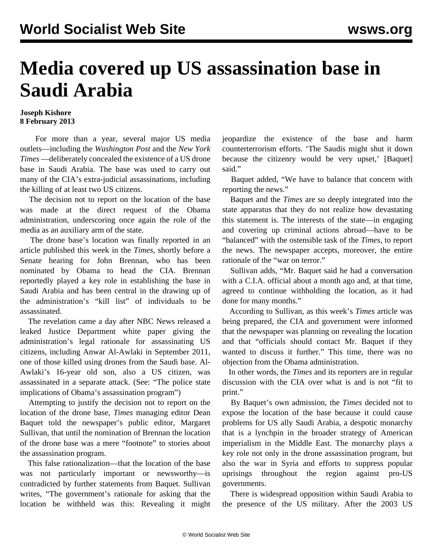## **Media covered up US assassination base in Saudi Arabia**

## **Joseph Kishore 8 February 2013**

 For more than a year, several major US media outlets—including the *Washington Post* and the *New York Times* —deliberately concealed the existence of a US drone base in Saudi Arabia. The base was used to carry out many of the CIA's extra-judicial assassinations, including the killing of at least two US citizens.

 The decision not to report on the location of the base was made at the direct request of the Obama administration, underscoring once again the role of the media as an auxiliary arm of the state.

 The drone base's location was finally reported in an article published this week in the *Times,* shortly before a [Senate hearing for John Brennan,](/en/articles/2013/02/08/bren-f08.html) who has been nominated by Obama to head the CIA. Brennan reportedly played a key role in establishing the base in Saudi Arabia and has been central in the drawing up of the administration's "kill list" of individuals to be assassinated.

 The revelation came a day after NBC News released a leaked Justice Department white paper giving the administration's legal rationale for assassinating US citizens, including Anwar Al-Awlaki in September 2011, one of those killed using drones from the Saudi base. Al-Awlaki's 16-year old son, also a US citizen, was assassinated in a separate attack. (See: "[The police state](/en/articles/2013/02/07/pers-f07.html) [implications of Obama's assassination program"](/en/articles/2013/02/07/pers-f07.html))

 Attempting to justify the decision not to report on the location of the drone base, *Times* managing editor Dean Baquet told the newspaper's [public editor,](http://publiceditor.blogs.nytimes.com/2013/02/06/the-times-was-right-to-report-at-last-on-a-secret-drone-base/) Margaret Sullivan, that until the nomination of Brennan the location of the drone base was a mere "footnote" to stories about the assassination program.

 This false rationalization—that the location of the base was not particularly important or newsworthy—is contradicted by further statements from Baquet. Sullivan writes, "The government's rationale for asking that the location be withheld was this: Revealing it might

jeopardize the existence of the base and harm counterterrorism efforts. 'The Saudis might shut it down because the citizenry would be very upset,' [Baquet] said."

 Baquet added, "We have to balance that concern with reporting the news."

 Baquet and the *Times* are so deeply integrated into the state apparatus that they do not realize how devastating this statement is. The interests of the state—in engaging and covering up criminal actions abroad—have to be "balanced" with the ostensible task of the *Times*, to report the news. The newspaper accepts, moreover, the entire rationale of the "war on terror."

 Sullivan adds, "Mr. Baquet said he had a conversation with a C.I.A. official about a month ago and, at that time, agreed to continue withholding the location, as it had done for many months."

 According to Sullivan, as this week's *Times* article was being prepared, the CIA and government were informed that the newspaper was planning on revealing the location and that "officials should contact Mr. Baquet if they wanted to discuss it further." This time, there was no objection from the Obama administration.

 In other words, the *Times* and its reporters are in regular discussion with the CIA over what is and is not "fit to print."

 By Baquet's own admission, the *Times* decided not to expose the location of the base because it could cause problems for US ally Saudi Arabia, a despotic monarchy that is a lynchpin in the broader strategy of American imperialism in the Middle East. The monarchy plays a key role not only in the drone assassination program, but also the war in Syria and efforts to suppress popular uprisings throughout the region against pro-US governments.

 There is widespread opposition within Saudi Arabia to the presence of the US military. After the 2003 US